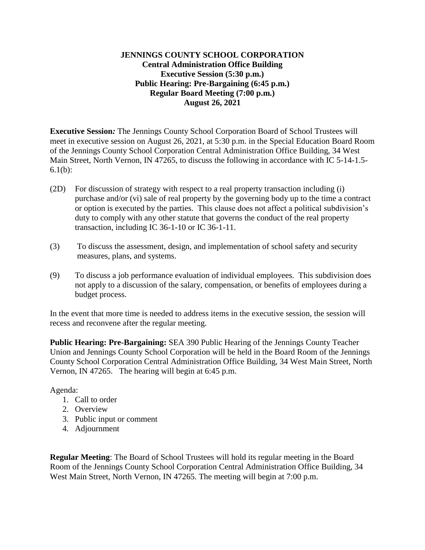## **JENNINGS COUNTY SCHOOL CORPORATION Central Administration Office Building Executive Session (5:30 p.m.) Public Hearing: Pre-Bargaining (6:45 p.m.) Regular Board Meeting (7:00 p.m.) August 26, 2021**

**Executive Session***:* The Jennings County School Corporation Board of School Trustees will meet in executive session on August 26, 2021, at 5:30 p.m. in the Special Education Board Room of the Jennings County School Corporation Central Administration Office Building, 34 West Main Street, North Vernon, IN 47265, to discuss the following in accordance with IC 5-14-1.5- 6.1(b):

- (2D) For discussion of strategy with respect to a real property transaction including (i) purchase and/or (vi) sale of real property by the governing body up to the time a contract or option is executed by the parties. This clause does not affect a political subdivision's duty to comply with any other statute that governs the conduct of the real property transaction, including IC 36-1-10 or IC 36-1-11.
- (3) To discuss the assessment, design, and implementation of school safety and security measures, plans, and systems.
- (9) To discuss a job performance evaluation of individual employees. This subdivision does not apply to a discussion of the salary, compensation, or benefits of employees during a budget process.

In the event that more time is needed to address items in the executive session, the session will recess and reconvene after the regular meeting.

**Public Hearing: Pre-Bargaining:** SEA 390 Public Hearing of the Jennings County Teacher Union and Jennings County School Corporation will be held in the Board Room of the Jennings County School Corporation Central Administration Office Building, 34 West Main Street, North Vernon, IN 47265. The hearing will begin at 6:45 p.m.

Agenda:

- 1. Call to order
- 2. Overview
- 3. Public input or comment
- 4. Adjournment

**Regular Meeting**: The Board of School Trustees will hold its regular meeting in the Board Room of the Jennings County School Corporation Central Administration Office Building, 34 West Main Street, North Vernon, IN 47265. The meeting will begin at 7:00 p.m.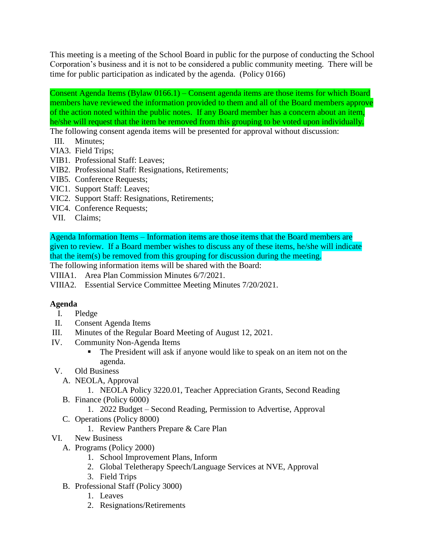This meeting is a meeting of the School Board in public for the purpose of conducting the School Corporation's business and it is not to be considered a public community meeting. There will be time for public participation as indicated by the agenda. (Policy 0166)

Consent Agenda Items (Bylaw 0166.1) – Consent agenda items are those items for which Board members have reviewed the information provided to them and all of the Board members approve of the action noted within the public notes. If any Board member has a concern about an item, he/she will request that the item be removed from this grouping to be voted upon individually.

The following consent agenda items will be presented for approval without discussion:

- III. Minutes;
- VIA3. Field Trips;
- VIB1. Professional Staff: Leaves;
- VIB2. Professional Staff: Resignations, Retirements;
- VIB5. Conference Requests;
- VIC1. Support Staff: Leaves;
- VIC2. Support Staff: Resignations, Retirements;
- VIC4. Conference Requests;
- VII. Claims;

Agenda Information Items – Information items are those items that the Board members are given to review. If a Board member wishes to discuss any of these items, he/she will indicate that the item(s) be removed from this grouping for discussion during the meeting.

The following information items will be shared with the Board:

VIIIA1. Area Plan Commission Minutes 6/7/2021.

VIIIA2. Essential Service Committee Meeting Minutes 7/20/2021.

## **Agenda**

- I. Pledge
- II. Consent Agenda Items
- III. Minutes of the Regular Board Meeting of August 12, 2021.
- IV. Community Non-Agenda Items
	- The President will ask if anyone would like to speak on an item not on the agenda.
- V. Old Business
	- A. NEOLA, Approval
		- 1. NEOLA Policy 3220.01, Teacher Appreciation Grants, Second Reading
	- B. Finance (Policy 6000)
		- 1. 2022 Budget Second Reading, Permission to Advertise, Approval
	- C. Operations (Policy 8000)
		- 1. Review Panthers Prepare & Care Plan
- VI. New Business
	- A. Programs (Policy 2000)
		- 1. School Improvement Plans, Inform
		- 2. Global Teletherapy Speech/Language Services at NVE, Approval
		- 3. Field Trips
	- B. Professional Staff (Policy 3000)
		- 1. Leaves
		- 2. Resignations/Retirements